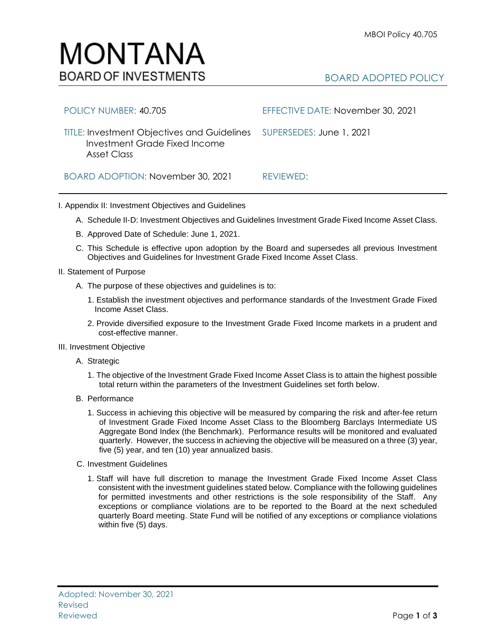

| POLICY NUMBER: 40.705                                                                                                | EFFECTIVE DATE: November 30, 2021 |
|----------------------------------------------------------------------------------------------------------------------|-----------------------------------|
| TITLE: Investment Objectives and Guidelines SUPERSEDES: June 1, 2021<br>Investment Grade Fixed Income<br>Asset Class |                                   |
| BOARD ADOPTION: November 30, 2021                                                                                    | REVIEWED:                         |

I. Appendix II: Investment Objectives and Guidelines

- A. Schedule II-D: Investment Objectives and Guidelines Investment Grade Fixed Income Asset Class.
- B. Approved Date of Schedule: June 1, 2021.
- C. This Schedule is effective upon adoption by the Board and supersedes all previous Investment Objectives and Guidelines for Investment Grade Fixed Income Asset Class.
- II. Statement of Purpose
	- A. The purpose of these objectives and guidelines is to:
		- 1. Establish the investment objectives and performance standards of the Investment Grade Fixed Income Asset Class.
		- 2. Provide diversified exposure to the Investment Grade Fixed Income markets in a prudent and cost-effective manner.
- III. Investment Objective
	- A. Strategic
		- 1. The objective of the Investment Grade Fixed Income Asset Class is to attain the highest possible total return within the parameters of the Investment Guidelines set forth below.
	- B. Performance
		- 1. Success in achieving this objective will be measured by comparing the risk and after-fee return of Investment Grade Fixed Income Asset Class to the Bloomberg Barclays Intermediate US Aggregate Bond Index (the Benchmark). Performance results will be monitored and evaluated quarterly. However, the success in achieving the objective will be measured on a three (3) year, five (5) year, and ten (10) year annualized basis.
	- C. Investment Guidelines
		- 1. Staff will have full discretion to manage the Investment Grade Fixed Income Asset Class consistent with the investment guidelines stated below. Compliance with the following guidelines for permitted investments and other restrictions is the sole responsibility of the Staff. Any exceptions or compliance violations are to be reported to the Board at the next scheduled quarterly Board meeting. State Fund will be notified of any exceptions or compliance violations within five (5) days.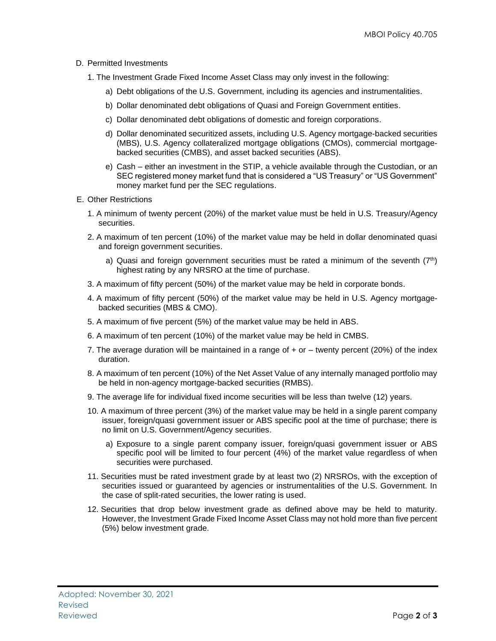- D. Permitted Investments
	- 1. The Investment Grade Fixed Income Asset Class may only invest in the following:
		- a) Debt obligations of the U.S. Government, including its agencies and instrumentalities.
		- b) Dollar denominated debt obligations of Quasi and Foreign Government entities.
		- c) Dollar denominated debt obligations of domestic and foreign corporations.
		- d) Dollar denominated securitized assets, including U.S. Agency mortgage-backed securities (MBS), U.S. Agency collateralized mortgage obligations (CMOs), commercial mortgagebacked securities (CMBS), and asset backed securities (ABS).
		- e) Cash either an investment in the STIP, a vehicle available through the Custodian, or an SEC registered money market fund that is considered a "US Treasury" or "US Government" money market fund per the SEC regulations.
- E. Other Restrictions
	- 1. A minimum of twenty percent (20%) of the market value must be held in U.S. Treasury/Agency securities.
	- 2. A maximum of ten percent (10%) of the market value may be held in dollar denominated quasi and foreign government securities.
		- a) Quasi and foreign government securities must be rated a minimum of the seventh  $(7<sup>th</sup>)$ highest rating by any NRSRO at the time of purchase.
	- 3. A maximum of fifty percent (50%) of the market value may be held in corporate bonds.
	- 4. A maximum of fifty percent (50%) of the market value may be held in U.S. Agency mortgagebacked securities (MBS & CMO).
	- 5. A maximum of five percent (5%) of the market value may be held in ABS.
	- 6. A maximum of ten percent (10%) of the market value may be held in CMBS.
	- 7. The average duration will be maintained in a range of + or twenty percent (20%) of the index duration.
	- 8. A maximum of ten percent (10%) of the Net Asset Value of any internally managed portfolio may be held in non-agency mortgage-backed securities (RMBS).
	- 9. The average life for individual fixed income securities will be less than twelve (12) years.
	- 10. A maximum of three percent (3%) of the market value may be held in a single parent company issuer, foreign/quasi government issuer or ABS specific pool at the time of purchase; there is no limit on U.S. Government/Agency securities.
		- a) Exposure to a single parent company issuer, foreign/quasi government issuer or ABS specific pool will be limited to four percent (4%) of the market value regardless of when securities were purchased.
	- 11. Securities must be rated investment grade by at least two (2) NRSROs, with the exception of securities issued or guaranteed by agencies or instrumentalities of the U.S. Government. In the case of split-rated securities, the lower rating is used.
	- 12. Securities that drop below investment grade as defined above may be held to maturity. However, the Investment Grade Fixed Income Asset Class may not hold more than five percent (5%) below investment grade.